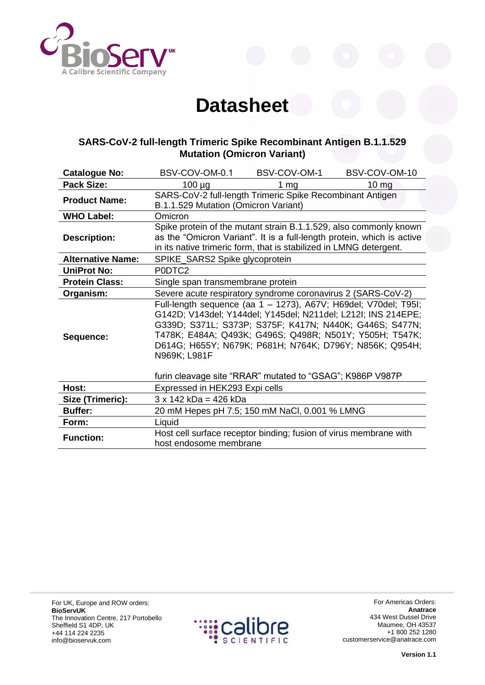

## **Datasheet**

## **SARS-CoV-2 full-length Trimeric Spike Recombinant Antigen B.1.1.529 Mutation (Omicron Variant)**

| <b>Catalogue No:</b>     | BSV-COV-OM-0.1                                               | BSV-COV-OM-1                                                                                                                                                                                                                                                                                                                                                                   | BSV-COV-OM-10   |
|--------------------------|--------------------------------------------------------------|--------------------------------------------------------------------------------------------------------------------------------------------------------------------------------------------------------------------------------------------------------------------------------------------------------------------------------------------------------------------------------|-----------------|
| <b>Pack Size:</b>        | $100 \mu g$                                                  | 1 $mg$                                                                                                                                                                                                                                                                                                                                                                         | $10 \text{ mg}$ |
| <b>Product Name:</b>     | B.1.1.529 Mutation (Omicron Variant)                         | SARS-CoV-2 full-length Trimeric Spike Recombinant Antigen                                                                                                                                                                                                                                                                                                                      |                 |
| <b>WHO Label:</b>        | Omicron                                                      |                                                                                                                                                                                                                                                                                                                                                                                |                 |
| <b>Description:</b>      |                                                              | Spike protein of the mutant strain B.1.1.529, also commonly known<br>as the "Omicron Variant". It is a full-length protein, which is active<br>in its native trimeric form, that is stabilized in LMNG detergent.                                                                                                                                                              |                 |
| <b>Alternative Name:</b> | SPIKE_SARS2 Spike glycoprotein                               |                                                                                                                                                                                                                                                                                                                                                                                |                 |
| <b>UniProt No:</b>       | P0DTC2                                                       |                                                                                                                                                                                                                                                                                                                                                                                |                 |
| <b>Protein Class:</b>    | Single span transmembrane protein                            |                                                                                                                                                                                                                                                                                                                                                                                |                 |
| Organism:                | Severe acute respiratory syndrome coronavirus 2 (SARS-CoV-2) |                                                                                                                                                                                                                                                                                                                                                                                |                 |
| Sequence:                | N969K; L981F                                                 | Full-length sequence (aa 1 - 1273), A67V; H69del; V70del; T95I;<br>G142D; V143del; Y144del; Y145del; N211del; L212I; INS 214EPE;<br>G339D; S371L; S373P; S375F; K417N; N440K; G446S; S477N;<br>T478K; E484A; Q493K; G496S; Q498R; N501Y; Y505H; T547K;<br>D614G; H655Y; N679K; P681H; N764K; D796Y; N856K; Q954H;<br>furin cleavage site "RRAR" mutated to "GSAG"; K986P V987P |                 |
| Host:                    | Expressed in HEK293 Expi cells                               |                                                                                                                                                                                                                                                                                                                                                                                |                 |
| Size (Trimeric):         | $3 \times 142$ kDa = 426 kDa                                 |                                                                                                                                                                                                                                                                                                                                                                                |                 |
| <b>Buffer:</b>           |                                                              | 20 mM Hepes pH 7.5; 150 mM NaCl, 0.001 % LMNG                                                                                                                                                                                                                                                                                                                                  |                 |
| Form:                    | Liquid                                                       |                                                                                                                                                                                                                                                                                                                                                                                |                 |
| <b>Function:</b>         | host endosome membrane                                       | Host cell surface receptor binding; fusion of virus membrane with                                                                                                                                                                                                                                                                                                              |                 |